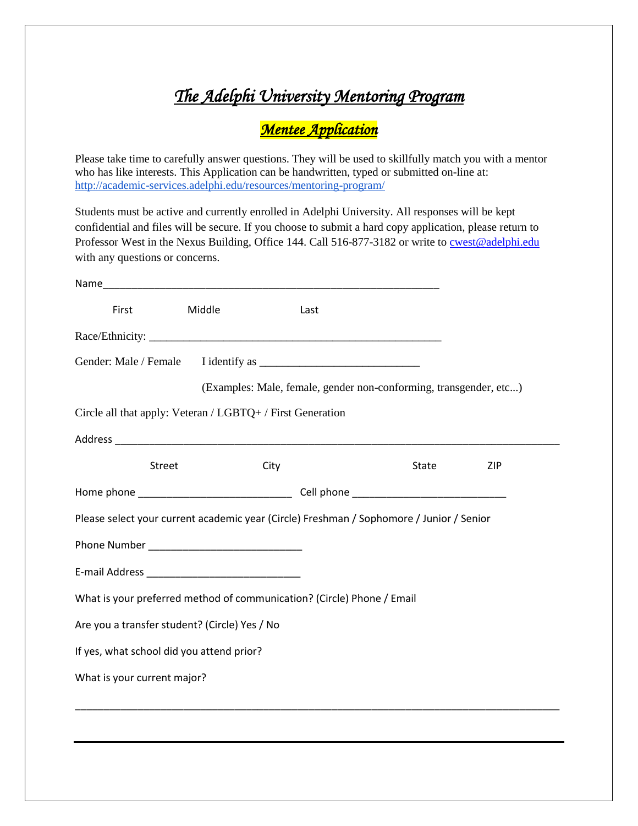## *The Adelphi University Mentoring Program*

## *Mentee Application*

Please take time to carefully answer questions. They will be used to skillfully match you with a mentor who has like interests. This Application can be handwritten, typed or submitted on-line at: <http://academic-services.adelphi.edu/resources/mentoring-program/>

Students must be active and currently enrolled in Adelphi University. All responses will be kept confidential and files will be secure. If you choose to submit a hard copy application, please return to Professor West in the Nexus Building, Office 144. Call 516-877-3182 or write to [cwest@adelphi.edu](mailto:cwest@adelphi.edu) with any questions or concerns.

| First                                         | Middle | Last                                                                   |                                                                                          |     |
|-----------------------------------------------|--------|------------------------------------------------------------------------|------------------------------------------------------------------------------------------|-----|
|                                               |        |                                                                        |                                                                                          |     |
|                                               |        |                                                                        |                                                                                          |     |
|                                               |        |                                                                        | (Examples: Male, female, gender non-conforming, transgender, etc)                        |     |
|                                               |        | Circle all that apply: Veteran / LGBTQ+ / First Generation             |                                                                                          |     |
|                                               |        |                                                                        |                                                                                          |     |
| <b>Street</b>                                 |        | City                                                                   | State                                                                                    | ZIP |
|                                               |        |                                                                        |                                                                                          |     |
|                                               |        |                                                                        | Please select your current academic year (Circle) Freshman / Sophomore / Junior / Senior |     |
|                                               |        |                                                                        |                                                                                          |     |
|                                               |        |                                                                        |                                                                                          |     |
|                                               |        | What is your preferred method of communication? (Circle) Phone / Email |                                                                                          |     |
| Are you a transfer student? (Circle) Yes / No |        |                                                                        |                                                                                          |     |
| If yes, what school did you attend prior?     |        |                                                                        |                                                                                          |     |
| What is your current major?                   |        |                                                                        |                                                                                          |     |
|                                               |        |                                                                        |                                                                                          |     |
|                                               |        |                                                                        |                                                                                          |     |
|                                               |        |                                                                        |                                                                                          |     |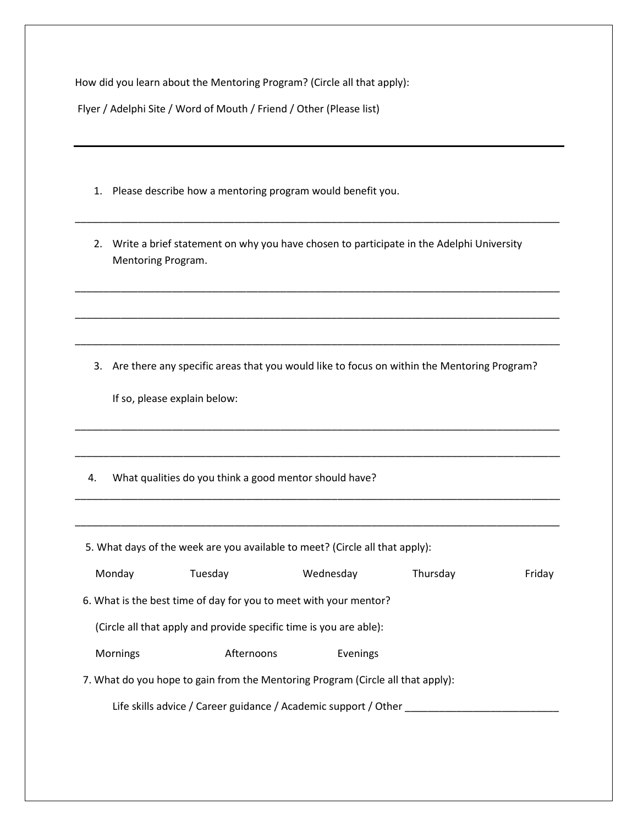How did you learn about the Mentoring Program? (Circle all that apply):

Flyer / Adelphi Site / Word of Mouth / Friend / Other (Please list)

- 1. Please describe how a mentoring program would benefit you.
- 2. Write a brief statement on why you have chosen to participate in the Adelphi University Mentoring Program.

\_\_\_\_\_\_\_\_\_\_\_\_\_\_\_\_\_\_\_\_\_\_\_\_\_\_\_\_\_\_\_\_\_\_\_\_\_\_\_\_\_\_\_\_\_\_\_\_\_\_\_\_\_\_\_\_\_\_\_\_\_\_\_\_\_\_\_\_\_\_\_\_\_\_\_\_\_\_\_\_\_\_\_\_\_

\_\_\_\_\_\_\_\_\_\_\_\_\_\_\_\_\_\_\_\_\_\_\_\_\_\_\_\_\_\_\_\_\_\_\_\_\_\_\_\_\_\_\_\_\_\_\_\_\_\_\_\_\_\_\_\_\_\_\_\_\_\_\_\_\_\_\_\_\_\_\_\_\_\_\_\_\_\_\_\_\_\_\_\_\_

\_\_\_\_\_\_\_\_\_\_\_\_\_\_\_\_\_\_\_\_\_\_\_\_\_\_\_\_\_\_\_\_\_\_\_\_\_\_\_\_\_\_\_\_\_\_\_\_\_\_\_\_\_\_\_\_\_\_\_\_\_\_\_\_\_\_\_\_\_\_\_\_\_\_\_\_\_\_\_\_\_\_\_\_\_

\_\_\_\_\_\_\_\_\_\_\_\_\_\_\_\_\_\_\_\_\_\_\_\_\_\_\_\_\_\_\_\_\_\_\_\_\_\_\_\_\_\_\_\_\_\_\_\_\_\_\_\_\_\_\_\_\_\_\_\_\_\_\_\_\_\_\_\_\_\_\_\_\_\_\_\_\_\_\_\_\_\_\_\_\_

3. Are there any specific areas that you would like to focus on within the Mentoring Program?

\_\_\_\_\_\_\_\_\_\_\_\_\_\_\_\_\_\_\_\_\_\_\_\_\_\_\_\_\_\_\_\_\_\_\_\_\_\_\_\_\_\_\_\_\_\_\_\_\_\_\_\_\_\_\_\_\_\_\_\_\_\_\_\_\_\_\_\_\_\_\_\_\_\_\_\_\_\_\_\_\_\_\_\_\_

\_\_\_\_\_\_\_\_\_\_\_\_\_\_\_\_\_\_\_\_\_\_\_\_\_\_\_\_\_\_\_\_\_\_\_\_\_\_\_\_\_\_\_\_\_\_\_\_\_\_\_\_\_\_\_\_\_\_\_\_\_\_\_\_\_\_\_\_\_\_\_\_\_\_\_\_\_\_\_\_\_\_\_\_\_

\_\_\_\_\_\_\_\_\_\_\_\_\_\_\_\_\_\_\_\_\_\_\_\_\_\_\_\_\_\_\_\_\_\_\_\_\_\_\_\_\_\_\_\_\_\_\_\_\_\_\_\_\_\_\_\_\_\_\_\_\_\_\_\_\_\_\_\_\_\_\_\_\_\_\_\_\_\_\_\_\_\_\_\_\_

\_\_\_\_\_\_\_\_\_\_\_\_\_\_\_\_\_\_\_\_\_\_\_\_\_\_\_\_\_\_\_\_\_\_\_\_\_\_\_\_\_\_\_\_\_\_\_\_\_\_\_\_\_\_\_\_\_\_\_\_\_\_\_\_\_\_\_\_\_\_\_\_\_\_\_\_\_\_\_\_\_\_\_\_\_

If so, please explain below:

4. What qualities do you think a good mentor should have?

| 5. What days of the week are you available to meet? (Circle all that apply): |                                                                                 |           |          |        |  |  |  |
|------------------------------------------------------------------------------|---------------------------------------------------------------------------------|-----------|----------|--------|--|--|--|
| Monday                                                                       | Tuesday                                                                         | Wednesday | Thursday | Friday |  |  |  |
| 6. What is the best time of day for you to meet with your mentor?            |                                                                                 |           |          |        |  |  |  |
| (Circle all that apply and provide specific time is you are able):           |                                                                                 |           |          |        |  |  |  |
| Mornings                                                                     | Afternoons                                                                      | Evenings  |          |        |  |  |  |
|                                                                              | 7. What do you hope to gain from the Mentoring Program (Circle all that apply): |           |          |        |  |  |  |
| Life skills advice / Career guidance / Academic support / Other              |                                                                                 |           |          |        |  |  |  |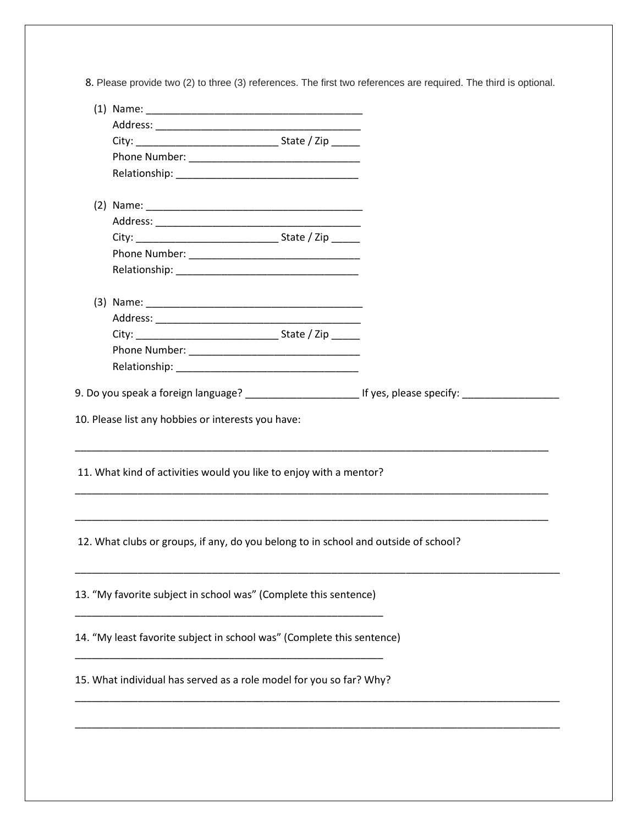8. Please provide two (2) to three (3) references. The first two references are required. The third is optional.

|                                                                                     | 9. Do you speak a foreign language? _______________________________ If yes, please specify: ______________ |
|-------------------------------------------------------------------------------------|------------------------------------------------------------------------------------------------------------|
| 11. What kind of activities would you like to enjoy with a mentor?                  |                                                                                                            |
| 12. What clubs or groups, if any, do you belong to in school and outside of school? |                                                                                                            |
| 13. "My favorite subject in school was" (Complete this sentence)                    |                                                                                                            |
| 14. "My least favorite subject in school was" (Complete this sentence)              |                                                                                                            |
| 15. What individual has served as a role model for you so far? Why?                 |                                                                                                            |
|                                                                                     |                                                                                                            |
|                                                                                     |                                                                                                            |